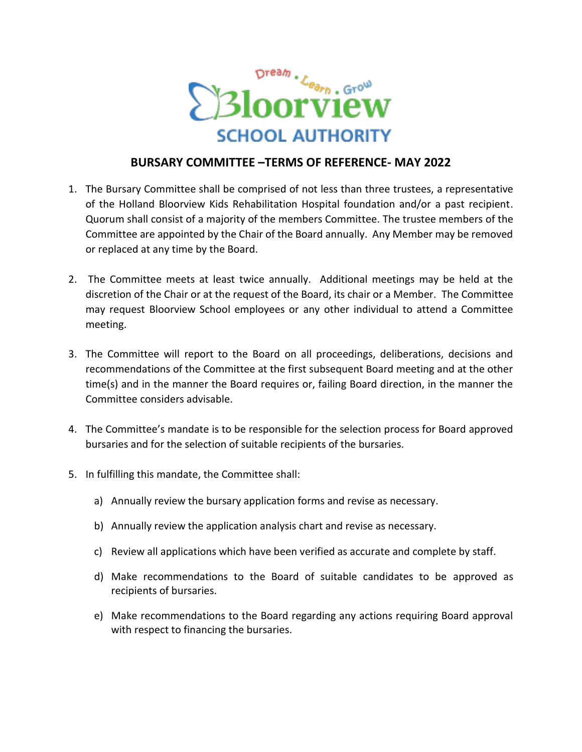

## **BURSARY COMMITTEE –TERMS OF REFERENCE- MAY 2022**

- 1. The Bursary Committee shall be comprised of not less than three trustees, a representative of the Holland Bloorview Kids Rehabilitation Hospital foundation and/or a past recipient. Quorum shall consist of a majority of the members Committee. The trustee members of the Committee are appointed by the Chair of the Board annually. Any Member may be removed or replaced at any time by the Board.
- 2. The Committee meets at least twice annually. Additional meetings may be held at the discretion of the Chair or at the request of the Board, its chair or a Member. The Committee may request Bloorview School employees or any other individual to attend a Committee meeting.
- 3. The Committee will report to the Board on all proceedings, deliberations, decisions and recommendations of the Committee at the first subsequent Board meeting and at the other time(s) and in the manner the Board requires or, failing Board direction, in the manner the Committee considers advisable.
- 4. The Committee's mandate is to be responsible for the selection process for Board approved bursaries and for the selection of suitable recipients of the bursaries.
- 5. In fulfilling this mandate, the Committee shall:
	- a) Annually review the bursary application forms and revise as necessary.
	- b) Annually review the application analysis chart and revise as necessary.
	- c) Review all applications which have been verified as accurate and complete by staff.
	- d) Make recommendations to the Board of suitable candidates to be approved as recipients of bursaries.
	- e) Make recommendations to the Board regarding any actions requiring Board approval with respect to financing the bursaries.